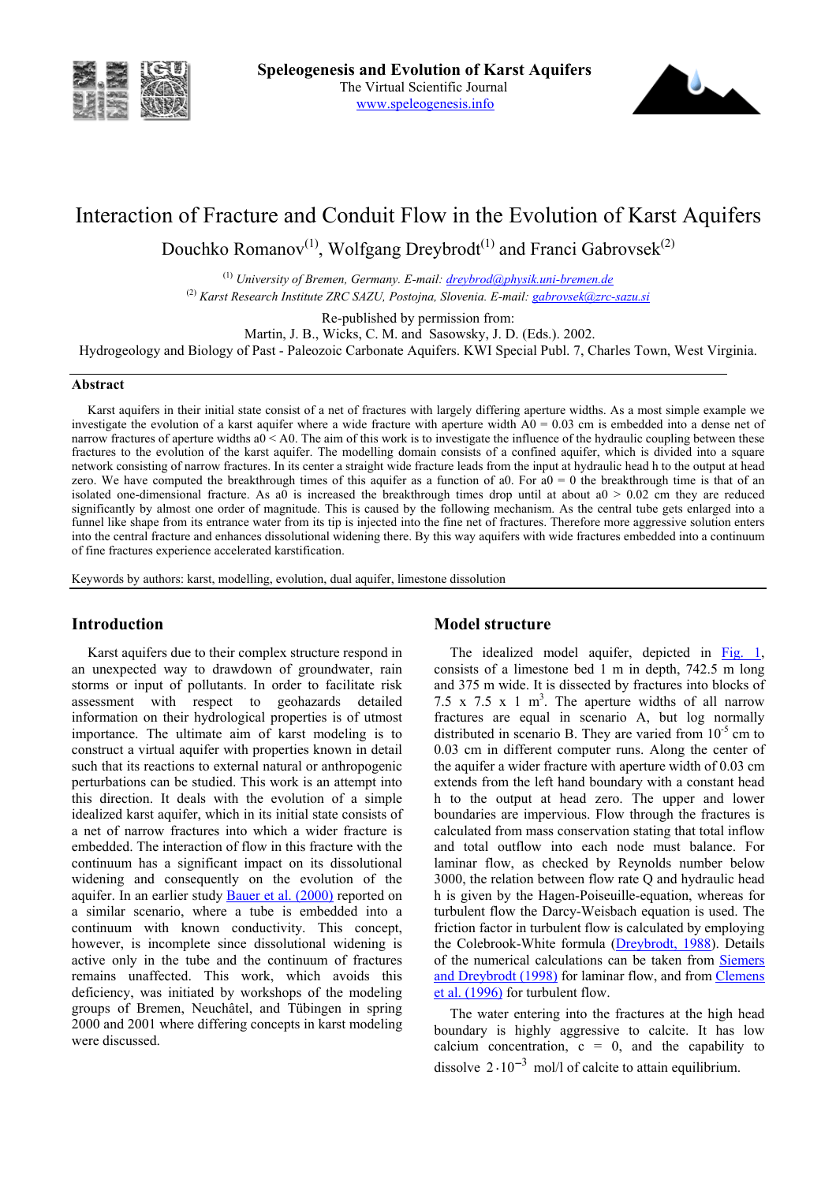



# Interaction of Fracture and Conduit Flow in the Evolution of Karst Aquifers

Douchko Romanov<sup>(1)</sup>, Wolfgang Dreybrodt<sup>(1)</sup> and Franci Gabrovsek<sup>(2)</sup>

(1) *University of Bremen, Germany. E-mail: dreybrod@physik.uni-bremen.de* (2) *Karst Research Institute ZRC SAZU, Postojna, Slovenia. E-mail: gabrovsek@zrc-sazu.si* 

Re-published by permission from:

Martin, J. B., Wicks, C. M. and Sasowsky, J. D. (Eds.). 2002.

Hydrogeology and Biology of Past - Paleozoic Carbonate Aquifers. KWI Special Publ. 7, Charles Town, West Virginia.

### **Abstract**

Karst aquifers in their initial state consist of a net of fractures with largely differing aperture widths. As a most simple example we investigate the evolution of a karst aquifer where a wide fracture with aperture width  $\overrightarrow{AD} = 0.03$  cm is embedded into a dense net of narrow fractures of aperture widths  $a0 < A0$ . The aim of this work is to investigate the influence of the hydraulic coupling between these fractures to the evolution of the karst aquifer. The modelling domain consists of a confined aquifer, which is divided into a square network consisting of narrow fractures. In its center a straight wide fracture leads from the input at hydraulic head h to the output at head zero. We have computed the breakthrough times of this aquifer as a function of a0. For  $a0 = 0$  the breakthrough time is that of an isolated one-dimensional fracture. As a0 is increased the breakthrough times drop until at about  $a0 > 0.02$  cm they are reduced significantly by almost one order of magnitude. This is caused by the following mechanism. As the central tube gets enlarged into a funnel like shape from its entrance water from its tip is injected into the fine net of fractures. Therefore more aggressive solution enters into the central fracture and enhances dissolutional widening there. By this way aquifers with wide fractures embedded into a continuum of fine fractures experience accelerated karstification.

Keywords by authors: karst, modelling, evolution, dual aquifer, limestone dissolution

## **Introduction**

Karst aquifers due to their complex structure respond in an unexpected way to drawdown of groundwater, rain storms or input of pollutants. In order to facilitate risk assessment with respect to geohazards detailed information on their hydrological properties is of utmost importance. The ultimate aim of karst modeling is to construct a virtual aquifer with properties known in detail such that its reactions to external natural or anthropogenic perturbations can be studied. This work is an attempt into this direction. It deals with the evolution of a simple idealized karst aquifer, which in its initial state consists of a net of narrow fractures into which a wider fracture is embedded. The interaction of flow in this fracture with the continuum has a significant impact on its dissolutional widening and consequently on the evolution of the aquifer. In an earlier study Bauer et al. (2000) reported on a similar scenario, where a tube is embedded into a continuum with known conductivity. This concept, however, is incomplete since dissolutional widening is active only in the tube and the continuum of fractures remains unaffected. This work, which avoids this deficiency, was initiated by workshops of the modeling groups of Bremen, Neuchâtel, and Tübingen in spring 2000 and 2001 where differing concepts in karst modeling were discussed.

## **Model structure**

The idealized model aquifer, depicted in Fig. 1, consists of a limestone bed 1 m in depth, 742.5 m long and 375 m wide. It is dissected by fractures into blocks of 7.5 x 7.5 x 1  $m<sup>3</sup>$ . The aperture widths of all narrow fractures are equal in scenario A, but log normally distributed in scenario B. They are varied from  $10^{-5}$  cm to 0.03 cm in different computer runs. Along the center of the aquifer a wider fracture with aperture width of 0.03 cm extends from the left hand boundary with a constant head h to the output at head zero. The upper and lower boundaries are impervious. Flow through the fractures is calculated from mass conservation stating that total inflow and total outflow into each node must balance. For laminar flow, as checked by Reynolds number below 3000, the relation between flow rate Q and hydraulic head h is given by the Hagen-Poiseuille-equation, whereas for turbulent flow the Darcy-Weisbach equation is used. The friction factor in turbulent flow is calculated by employing the Colebrook-White formula (Dreybrodt, 1988). Details of the numerical calculations can be taken from Siemers and Dreybrodt (1998) for laminar flow, and from Clemens et al. (1996) for turbulent flow.

The water entering into the fractures at the high head boundary is highly aggressive to calcite. It has low calcium concentration,  $c = 0$ , and the capability to dissolve  $2 \cdot 10^{-3}$  mol/l of calcite to attain equilibrium.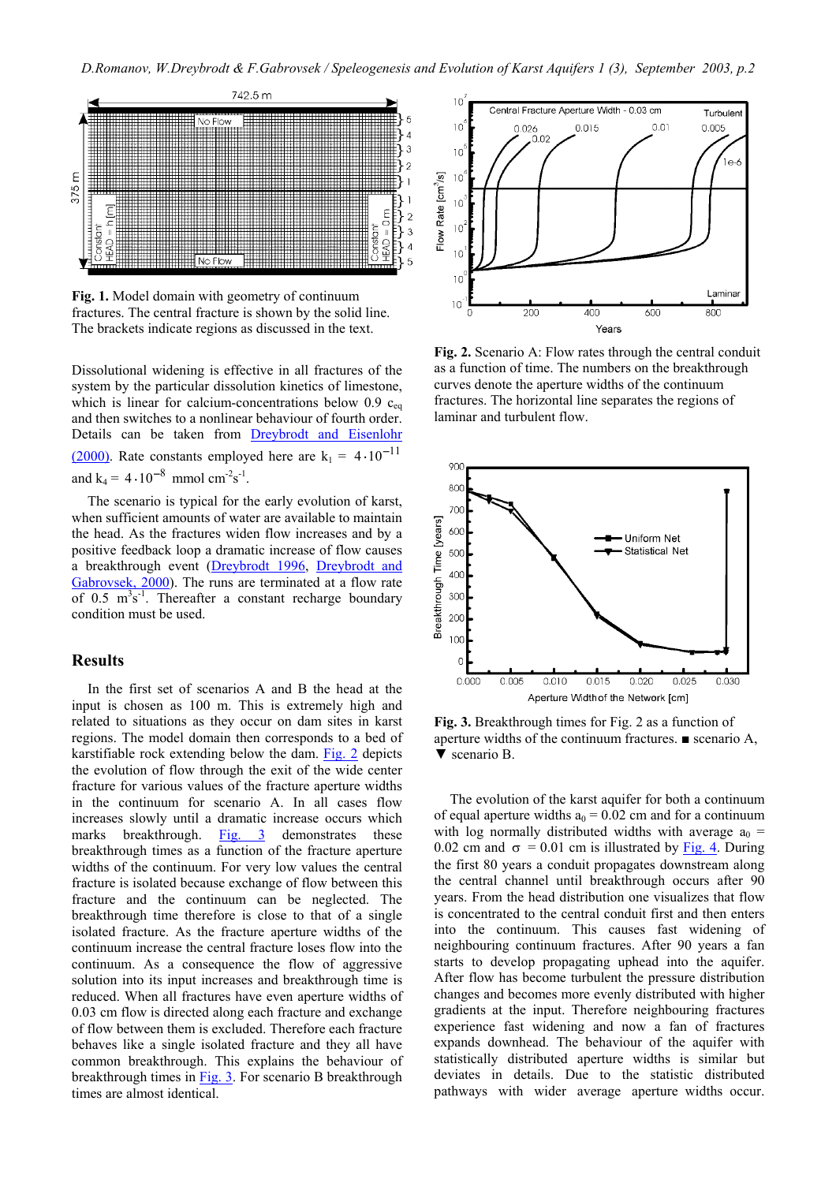

**Fig. 1.** Model domain with geometry of continuum fractures. The central fracture is shown by the solid line. The brackets indicate regions as discussed in the text.

Dissolutional widening is effective in all fractures of the system by the particular dissolution kinetics of limestone, which is linear for calcium-concentrations below 0.9  $c_{eq}$ and then switches to a nonlinear behaviour of fourth order. Details can be taken from Dreybrodt and Eisenlohr (2000). Rate constants employed here are  $k_1 = 4 \cdot 10^{-11}$ and  $k_4 = 4 \cdot 10^{-8}$  mmol cm<sup>-2</sup>s<sup>-1</sup>.

The scenario is typical for the early evolution of karst, when sufficient amounts of water are available to maintain the head. As the fractures widen flow increases and by a positive feedback loop a dramatic increase of flow causes a breakthrough event (Dreybrodt 1996, Dreybrodt and Gabrovsek, 2000). The runs are terminated at a flow rate of  $0.5 \text{ m}^3\text{s}^{-1}$ . Thereafter a constant recharge boundary condition must be used.

### **Results**

In the first set of scenarios A and B the head at the input is chosen as 100 m. This is extremely high and related to situations as they occur on dam sites in karst regions. The model domain then corresponds to a bed of karstifiable rock extending below the dam. Fig. 2 depicts the evolution of flow through the exit of the wide center fracture for various values of the fracture aperture widths in the continuum for scenario A. In all cases flow increases slowly until a dramatic increase occurs which marks breakthrough. Fig. 3 demonstrates these breakthrough times as a function of the fracture aperture widths of the continuum. For very low values the central fracture is isolated because exchange of flow between this fracture and the continuum can be neglected. The breakthrough time therefore is close to that of a single isolated fracture. As the fracture aperture widths of the continuum increase the central fracture loses flow into the continuum. As a consequence the flow of aggressive solution into its input increases and breakthrough time is reduced. When all fractures have even aperture widths of 0.03 cm flow is directed along each fracture and exchange of flow between them is excluded. Therefore each fracture behaves like a single isolated fracture and they all have common breakthrough. This explains the behaviour of breakthrough times in Fig. 3. For scenario B breakthrough times are almost identical.



**Fig. 2.** Scenario A: Flow rates through the central conduit as a function of time. The numbers on the breakthrough curves denote the aperture widths of the continuum fractures. The horizontal line separates the regions of laminar and turbulent flow.



**Fig. 3.** Breakthrough times for Fig. 2 as a function of aperture widths of the continuum fractures. ■ scenario A, ▼ scenario B.

The evolution of the karst aquifer for both a continuum of equal aperture widths  $a_0 = 0.02$  cm and for a continuum with log normally distributed widths with average  $a_0 =$ 0.02 cm and  $\sigma = 0.01$  cm is illustrated by Fig. 4. During the first 80 years a conduit propagates downstream along the central channel until breakthrough occurs after 90 years. From the head distribution one visualizes that flow is concentrated to the central conduit first and then enters into the continuum. This causes fast widening of neighbouring continuum fractures. After 90 years a fan starts to develop propagating uphead into the aquifer. After flow has become turbulent the pressure distribution changes and becomes more evenly distributed with higher gradients at the input. Therefore neighbouring fractures experience fast widening and now a fan of fractures expands downhead. The behaviour of the aquifer with statistically distributed aperture widths is similar but deviates in details. Due to the statistic distributed pathways with wider average aperture widths occur.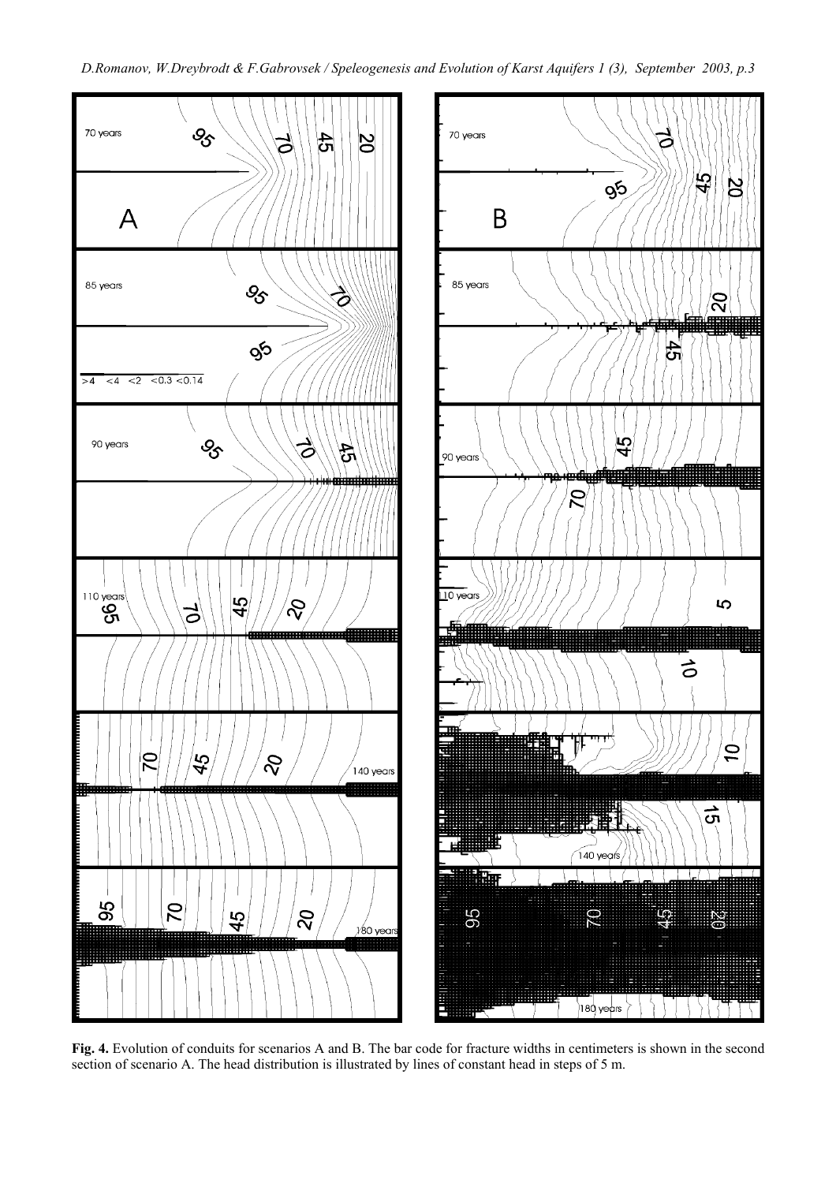

**Fig. 4.** Evolution of conduits for scenarios A and B. The bar code for fracture widths in centimeters is shown in the second section of scenario A. The head distribution is illustrated by lines of constant head in steps of 5 m.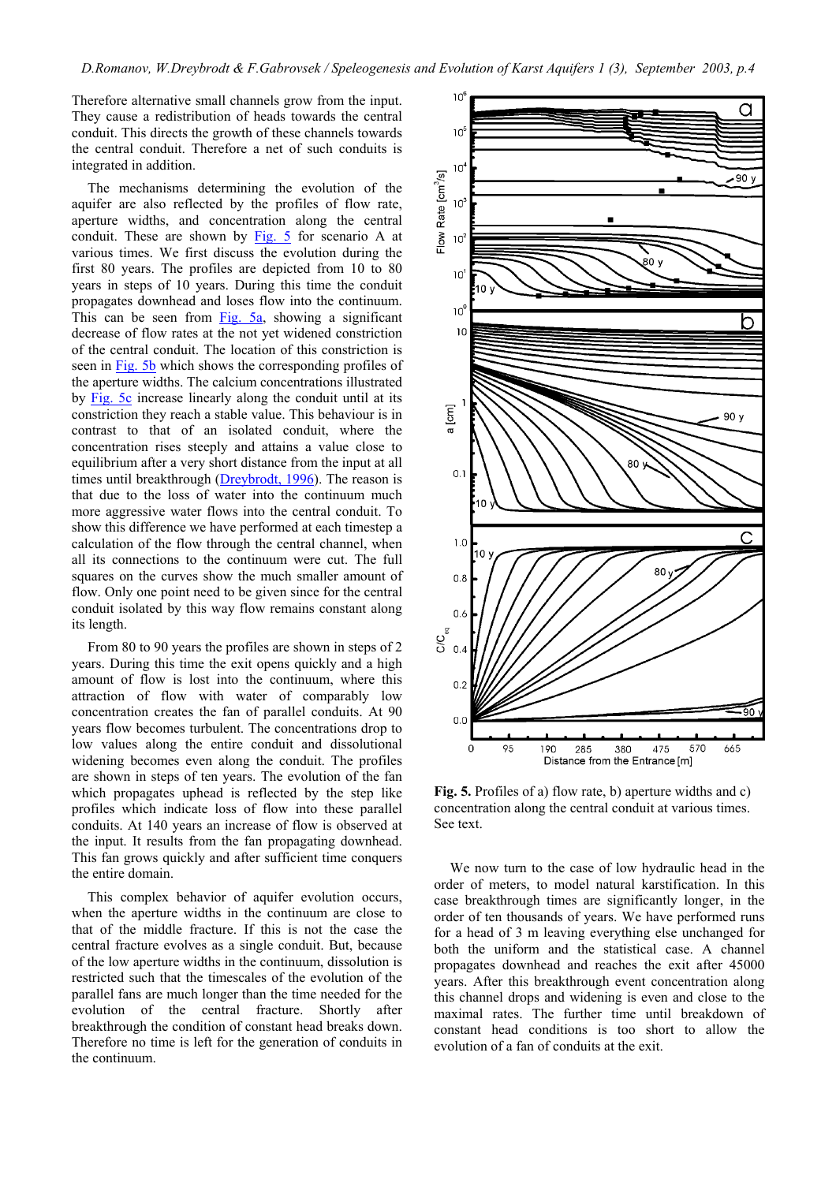Therefore alternative small channels grow from the input. They cause a redistribution of heads towards the central conduit. This directs the growth of these channels towards the central conduit. Therefore a net of such conduits is integrated in addition.

The mechanisms determining the evolution of the aquifer are also reflected by the profiles of flow rate, aperture widths, and concentration along the central conduit. These are shown by Fig. 5 for scenario A at various times. We first discuss the evolution during the first 80 years. The profiles are depicted from 10 to 80 years in steps of 10 years. During this time the conduit propagates downhead and loses flow into the continuum. This can be seen from  $Fig. 5a$ , showing a significant decrease of flow rates at the not yet widened constriction of the central conduit. The location of this constriction is seen in Fig. 5b which shows the corresponding profiles of the aperture widths. The calcium concentrations illustrated by Fig. 5c increase linearly along the conduit until at its constriction they reach a stable value. This behaviour is in contrast to that of an isolated conduit, where the concentration rises steeply and attains a value close to equilibrium after a very short distance from the input at all times until breakthrough (Dreybrodt, 1996). The reason is that due to the loss of water into the continuum much more aggressive water flows into the central conduit. To show this difference we have performed at each timestep a calculation of the flow through the central channel, when all its connections to the continuum were cut. The full squares on the curves show the much smaller amount of flow. Only one point need to be given since for the central conduit isolated by this way flow remains constant along its length.

From 80 to 90 years the profiles are shown in steps of 2 years. During this time the exit opens quickly and a high amount of flow is lost into the continuum, where this attraction of flow with water of comparably low concentration creates the fan of parallel conduits. At 90 years flow becomes turbulent. The concentrations drop to low values along the entire conduit and dissolutional widening becomes even along the conduit. The profiles are shown in steps of ten years. The evolution of the fan which propagates uphead is reflected by the step like profiles which indicate loss of flow into these parallel conduits. At 140 years an increase of flow is observed at the input. It results from the fan propagating downhead. This fan grows quickly and after sufficient time conquers the entire domain.

This complex behavior of aquifer evolution occurs, when the aperture widths in the continuum are close to that of the middle fracture. If this is not the case the central fracture evolves as a single conduit. But, because of the low aperture widths in the continuum, dissolution is restricted such that the timescales of the evolution of the parallel fans are much longer than the time needed for the evolution of the central fracture. Shortly after breakthrough the condition of constant head breaks down. Therefore no time is left for the generation of conduits in the continuum.



**Fig. 5.** Profiles of a) flow rate, b) aperture widths and c) concentration along the central conduit at various times. See text.

We now turn to the case of low hydraulic head in the order of meters, to model natural karstification. In this case breakthrough times are significantly longer, in the order of ten thousands of years. We have performed runs for a head of 3 m leaving everything else unchanged for both the uniform and the statistical case. A channel propagates downhead and reaches the exit after 45000 years. After this breakthrough event concentration along this channel drops and widening is even and close to the maximal rates. The further time until breakdown of constant head conditions is too short to allow the evolution of a fan of conduits at the exit.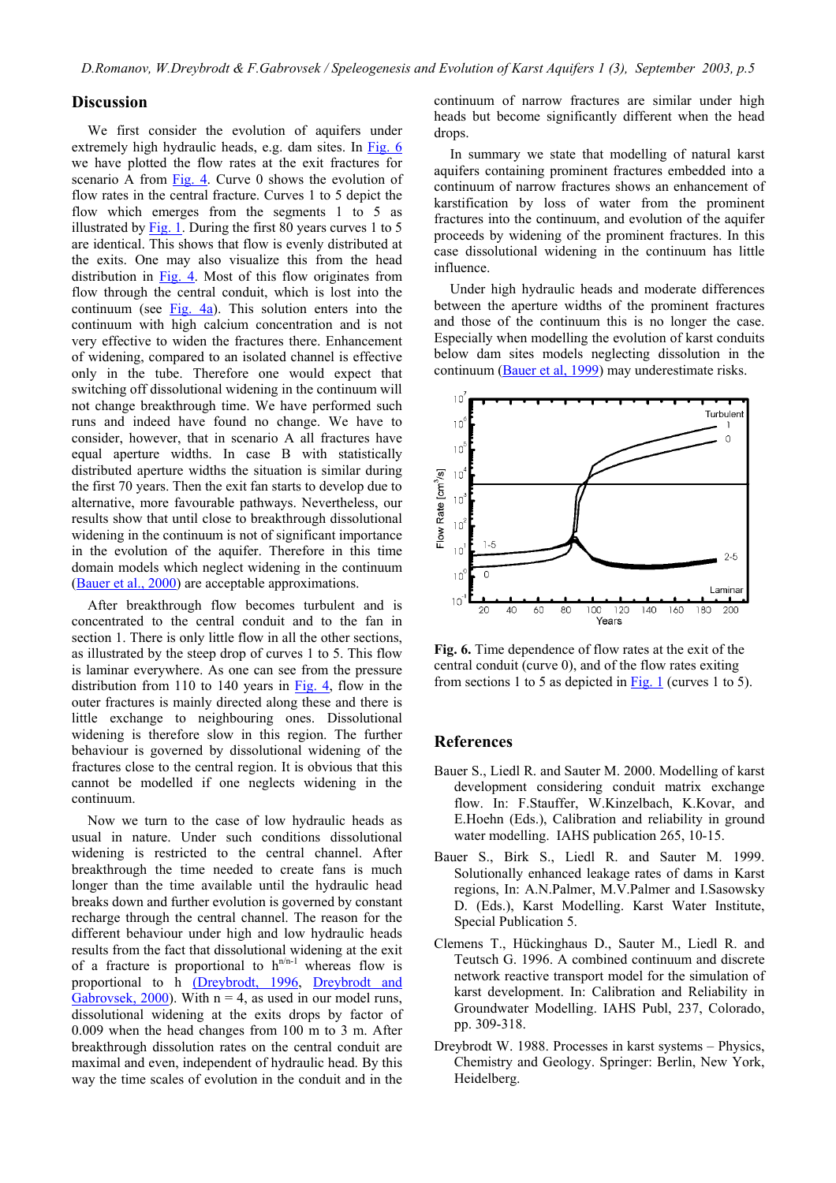## **Discussion**

We first consider the evolution of aquifers under extremely high hydraulic heads, e.g. dam sites. In Fig. 6 we have plotted the flow rates at the exit fractures for scenario A from Fig. 4. Curve 0 shows the evolution of flow rates in the central fracture. Curves 1 to 5 depict the flow which emerges from the segments 1 to 5 as illustrated by Fig. 1. During the first 80 years curves 1 to 5 are identical. This shows that flow is evenly distributed at the exits. One may also visualize this from the head distribution in Fig. 4. Most of this flow originates from flow through the central conduit, which is lost into the continuum (see Fig. 4a). This solution enters into the continuum with high calcium concentration and is not very effective to widen the fractures there. Enhancement of widening, compared to an isolated channel is effective only in the tube. Therefore one would expect that switching off dissolutional widening in the continuum will not change breakthrough time. We have performed such runs and indeed have found no change. We have to consider, however, that in scenario A all fractures have equal aperture widths. In case B with statistically distributed aperture widths the situation is similar during the first 70 years. Then the exit fan starts to develop due to alternative, more favourable pathways. Nevertheless, our results show that until close to breakthrough dissolutional widening in the continuum is not of significant importance in the evolution of the aquifer. Therefore in this time domain models which neglect widening in the continuum (Bauer et al., 2000) are acceptable approximations.

After breakthrough flow becomes turbulent and is concentrated to the central conduit and to the fan in section 1. There is only little flow in all the other sections, as illustrated by the steep drop of curves 1 to 5. This flow is laminar everywhere. As one can see from the pressure distribution from 110 to 140 years in Fig. 4, flow in the outer fractures is mainly directed along these and there is little exchange to neighbouring ones. Dissolutional widening is therefore slow in this region. The further behaviour is governed by dissolutional widening of the fractures close to the central region. It is obvious that this cannot be modelled if one neglects widening in the continuum.

Now we turn to the case of low hydraulic heads as usual in nature. Under such conditions dissolutional widening is restricted to the central channel. After breakthrough the time needed to create fans is much longer than the time available until the hydraulic head breaks down and further evolution is governed by constant recharge through the central channel. The reason for the different behaviour under high and low hydraulic heads results from the fact that dissolutional widening at the exit of a fracture is proportional to  $h^{n/n-1}$  whereas flow is proportional to h (Dreybrodt, 1996, Dreybrodt and Gabrovsek, 2000). With  $n = 4$ , as used in our model runs, dissolutional widening at the exits drops by factor of 0.009 when the head changes from 100 m to 3 m. After breakthrough dissolution rates on the central conduit are maximal and even, independent of hydraulic head. By this way the time scales of evolution in the conduit and in the

continuum of narrow fractures are similar under high heads but become significantly different when the head drops.

In summary we state that modelling of natural karst aquifers containing prominent fractures embedded into a continuum of narrow fractures shows an enhancement of karstification by loss of water from the prominent fractures into the continuum, and evolution of the aquifer proceeds by widening of the prominent fractures. In this case dissolutional widening in the continuum has little influence.

Under high hydraulic heads and moderate differences between the aperture widths of the prominent fractures and those of the continuum this is no longer the case. Especially when modelling the evolution of karst conduits below dam sites models neglecting dissolution in the continuum (Bauer et al, 1999) may underestimate risks.



**Fig. 6.** Time dependence of flow rates at the exit of the central conduit (curve 0), and of the flow rates exiting from sections 1 to 5 as depicted in  $Fig. 1$  (curves 1 to 5).

### **References**

- Bauer S., Liedl R. and Sauter M. 2000. Modelling of karst development considering conduit matrix exchange flow. In: F.Stauffer, W.Kinzelbach, K.Kovar, and E.Hoehn (Eds.), Calibration and reliability in ground water modelling. IAHS publication 265, 10-15.
- Bauer S., Birk S., Liedl R. and Sauter M. 1999. Solutionally enhanced leakage rates of dams in Karst regions, In: A.N.Palmer, M.V.Palmer and I.Sasowsky D. (Eds.), Karst Modelling. Karst Water Institute, Special Publication 5.
- Clemens T., Hückinghaus D., Sauter M., Liedl R. and Teutsch G. 1996. A combined continuum and discrete network reactive transport model for the simulation of karst development. In: Calibration and Reliability in Groundwater Modelling. IAHS Publ, 237, Colorado, pp. 309-318.
- Dreybrodt W. 1988. Processes in karst systems Physics, Chemistry and Geology. Springer: Berlin, New York, Heidelberg.